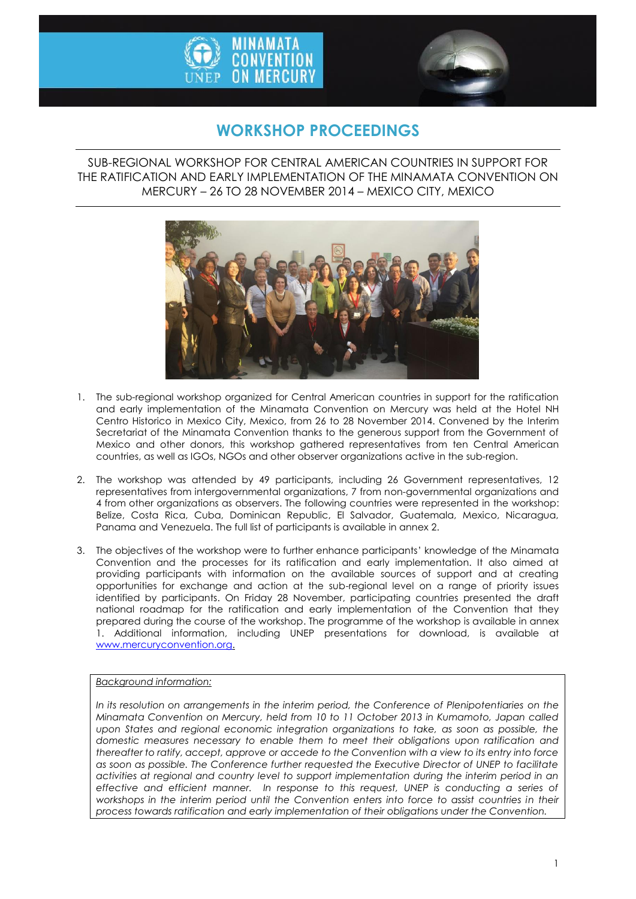



# **WORKSHOP PROCEEDINGS**

SUB-REGIONAL WORKSHOP FOR CENTRAL AMERICAN COUNTRIES IN SUPPORT FOR THE RATIFICATION AND EARLY IMPLEMENTATION OF THE MINAMATA CONVENTION ON MERCURY – 26 TO 28 NOVEMBER 2014 – MEXICO CITY, MEXICO



- 1. The sub-regional workshop organized for Central American countries in support for the ratification and early implementation of the Minamata Convention on Mercury was held at the Hotel NH Centro Historico in Mexico City, Mexico, from 26 to 28 November 2014. Convened by the Interim Secretariat of the Minamata Convention thanks to the generous support from the Government of Mexico and other donors, this workshop gathered representatives from ten Central American countries, as well as IGOs, NGOs and other observer organizations active in the sub-region.
- 2. The workshop was attended by 49 participants, including 26 Government representatives, 12 representatives from intergovernmental organizations, 7 from non-governmental organizations and 4 from other organizations as observers. The following countries were represented in the workshop: Belize, Costa Rica, Cuba, Dominican Republic, El Salvador, Guatemala, Mexico, Nicaragua, Panama and Venezuela. The full list of participants is available in annex 2.
- 3. The objectives of the workshop were to further enhance participants' knowledge of the Minamata Convention and the processes for its ratification and early implementation. It also aimed at providing participants with information on the available sources of support and at creating opportunities for exchange and action at the sub-regional level on a range of priority issues identified by participants. On Friday 28 November, participating countries presented the draft national roadmap for the ratification and early implementation of the Convention that they prepared during the course of the workshop. The programme of the workshop is available in annex 1. Additional information, including UNEP presentations for download, is available at [www.mercuryconvention.org.](http://www.mercuryconvention.org/)

*Background information:*

*In its resolution on arrangements in the interim period, the Conference of Plenipotentiaries on the Minamata Convention on Mercury, held from 10 to 11 October 2013 in Kumamoto, Japan called*  upon States and regional economic integration organizations to take, as soon as possible, the *domestic measures necessary to enable them to meet their obligations upon ratification and thereafter to ratify, accept, approve or accede to the Convention with a view to its entry into force as soon as possible. The Conference further requested the Executive Director of UNEP to facilitate activities at regional and country level to support implementation during the interim period in an effective and efficient manner. In response to this request, UNEP is conducting a series of workshops in the interim period until the Convention enters into force to assist countries in their process towards ratification and early implementation of their obligations under the Convention.*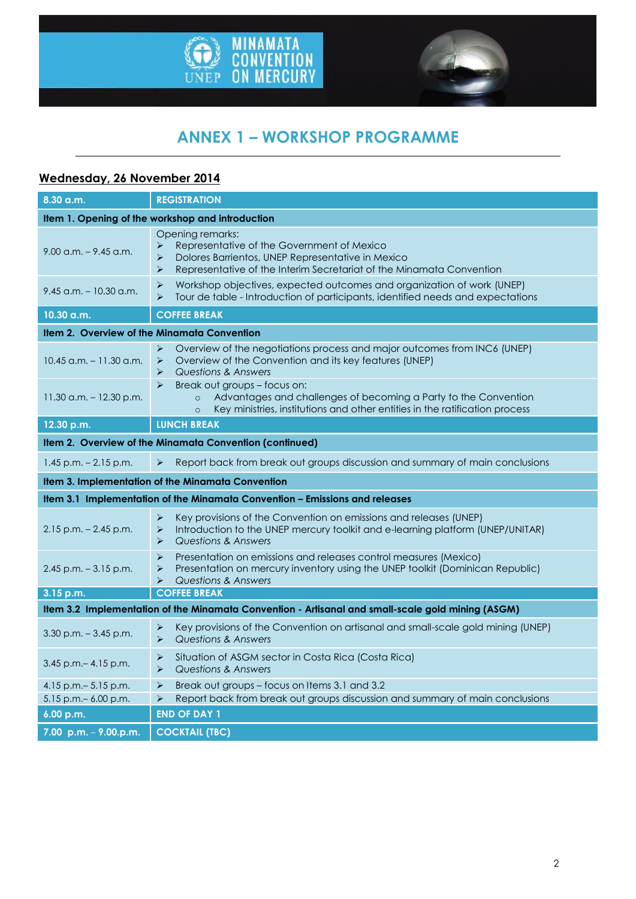



# **ANNEX 1 – WORKSHOP PROGRAMME**

# **Wednesday, 26 November 2014**

| 8.30 a.m.                                                                   | <b>REGISTRATION</b>                                                                                                                                                                                                            |  |
|-----------------------------------------------------------------------------|--------------------------------------------------------------------------------------------------------------------------------------------------------------------------------------------------------------------------------|--|
|                                                                             | Item 1. Opening of the workshop and introduction                                                                                                                                                                               |  |
| $9.00$ a.m. $-9.45$ a.m.                                                    | Opening remarks:<br>Representative of the Government of Mexico<br>➤<br>$\blacktriangleright$<br>Dolores Barrientos, UNEP Representative in Mexico<br>Representative of the Interim Secretariat of the Minamata Convention<br>➤ |  |
| $9.45$ a.m. $-10.30$ a.m.                                                   | $\blacktriangleright$<br>Workshop objectives, expected outcomes and organization of work (UNEP)<br>Tour de table - Introduction of participants, identified needs and expectations<br>$\blacktriangleright$                    |  |
| 10.30 a.m.                                                                  | <b>COFFEE BREAK</b>                                                                                                                                                                                                            |  |
| Item 2. Overview of the Minamata Convention                                 |                                                                                                                                                                                                                                |  |
| 10.45 a.m. - 11.30 a.m.                                                     | Overview of the negotiations process and major outcomes from INC6 (UNEP)<br>$\blacktriangleright$<br>Overview of the Convention and its key features (UNEP)<br>➤<br><b>Questions &amp; Answers</b><br>➤                        |  |
| $11.30$ a.m. $-12.30$ p.m.                                                  | Break out groups - focus on:<br>$\blacktriangleright$<br>Advantages and challenges of becoming a Party to the Convention<br>$\circ$<br>Key ministries, institutions and other entities in the ratification process<br>$\circ$  |  |
| 12.30 p.m.                                                                  | <b>LUNCH BREAK</b>                                                                                                                                                                                                             |  |
|                                                                             | Item 2. Overview of the Minamata Convention (continued)                                                                                                                                                                        |  |
| $1.45$ p.m. $- 2.15$ p.m.                                                   | Report back from break out groups discussion and summary of main conclusions<br>$\blacktriangleright$                                                                                                                          |  |
| Item 3. Implementation of the Minamata Convention                           |                                                                                                                                                                                                                                |  |
| Item 3.1 Implementation of the Minamata Convention - Emissions and releases |                                                                                                                                                                                                                                |  |
| $2.15$ p.m. $- 2.45$ p.m.                                                   | $\blacktriangleright$<br>Key provisions of the Convention on emissions and releases (UNEP)<br>Introduction to the UNEP mercury toolkit and e-learning platform (UNEP/UNITAR)<br>➤<br>Questions & Answers<br>➤                  |  |
| $2.45$ p.m. $-3.15$ p.m.                                                    | $\blacktriangleright$<br>Presentation on emissions and releases control measures (Mexico)<br>Presentation on mercury inventory using the UNEP toolkit (Dominican Republic)<br>➤<br>Questions & Answers<br>⋗                    |  |
| 3.15 p.m.                                                                   | <b>COFFEE BREAK</b>                                                                                                                                                                                                            |  |
|                                                                             | Item 3.2 Implementation of the Minamata Convention - Artisanal and small-scale gold mining (ASGM)                                                                                                                              |  |
| $3.30$ p.m. $-3.45$ p.m.                                                    | Key provisions of the Convention on artisanal and small-scale gold mining (UNEP)<br>➤<br><b>Questions &amp; Answers</b><br>$\blacktriangleright$                                                                               |  |
| $3.45$ p.m. $- 4.15$ p.m.                                                   | Situation of ASGM sector in Costa Rica (Costa Rica)<br>➤<br>Questions & Answers<br>➤                                                                                                                                           |  |
| 4.15 p.m. $-$ 5.15 p.m.                                                     | Break out groups - focus on Items 3.1 and 3.2<br>➤                                                                                                                                                                             |  |
| 5.15 p.m. - 6.00 p.m.                                                       | Report back from break out groups discussion and summary of main conclusions<br>➤                                                                                                                                              |  |
| 6.00 p.m.                                                                   | <b>END OF DAY 1</b>                                                                                                                                                                                                            |  |
| 7.00 p.m. $-$ 9.00.p.m.                                                     | <b>COCKTAIL (TBC)</b>                                                                                                                                                                                                          |  |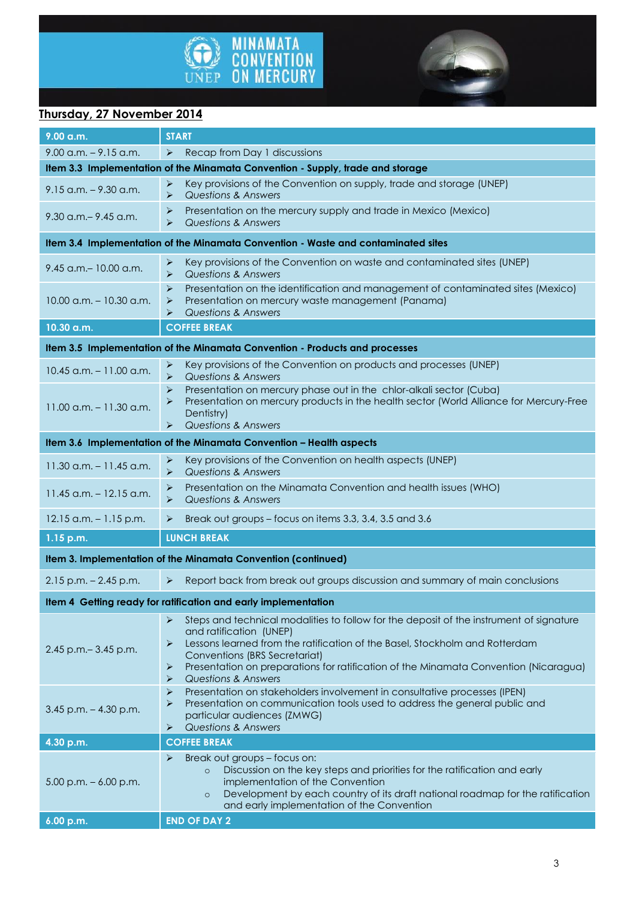



# **Thursday, 27 November 2014**

| $9.00$ a.m. $-9.15$ a.m.<br>➤<br>Recap from Day 1 discussions<br>Item 3.3 Implementation of the Minamata Convention - Supply, trade and storage<br>Key provisions of the Convention on supply, trade and storage (UNEP)<br>➤<br>$9.15$ a.m. $-9.30$ a.m.<br><b>Questions &amp; Answers</b><br>➤<br>Presentation on the mercury supply and trade in Mexico (Mexico)<br>➤<br>$9.30$ a.m. $-9.45$ a.m.<br><b>Questions &amp; Answers</b><br>⋗<br>Item 3.4 Implementation of the Minamata Convention - Waste and contaminated sites<br>Key provisions of the Convention on waste and contaminated sites (UNEP)<br>➤<br>9.45 a.m. - 10.00 a.m.<br><b>Questions &amp; Answers</b><br>➤<br>$\blacktriangleright$<br>Presentation on the identification and management of contaminated sites (Mexico)<br>Presentation on mercury waste management (Panama)<br>$10.00$ a.m. $-10.30$ a.m.<br>➤<br><b>Questions &amp; Answers</b><br>⋗<br><b>COFFEE BREAK</b><br>10.30 a.m.<br>Item 3.5 Implementation of the Minamata Convention - Products and processes<br>Key provisions of the Convention on products and processes (UNEP)<br>➤<br>$10.45$ a.m. $-11.00$ a.m.<br>Questions & Answers<br>⋗<br>Presentation on mercury phase out in the chlor-alkali sector (Cuba)<br>➤<br>Presentation on mercury products in the health sector (World Alliance for Mercury-Free<br>⋗<br>$11.00$ a.m. $-11.30$ a.m.<br>Dentistry)<br><b>Questions &amp; Answers</b><br>⋗<br>Item 3.6 Implementation of the Minamata Convention - Health aspects<br>Key provisions of the Convention on health aspects (UNEP)<br>➤<br>$11.30$ a.m. $-11.45$ a.m.<br><b>Questions &amp; Answers</b><br>➤<br>Presentation on the Minamata Convention and health issues (WHO)<br>$\blacktriangleright$<br>$11.45$ a.m. $-12.15$ a.m.<br><b>Questions &amp; Answers</b><br>➤<br>$12.15$ a.m. $-1.15$ p.m.<br>Break out groups - focus on items 3.3, 3.4, 3.5 and 3.6<br>➤<br><b>LUNCH BREAK</b><br>1.15 p.m.<br>Item 3. Implementation of the Minamata Convention (continued)<br>Report back from break out groups discussion and summary of main conclusions<br>$2.15$ p.m. $- 2.45$ p.m.<br>$\blacktriangleright$<br>Item 4 Getting ready for ratification and early implementation | $9.00$ a.m. | <b>START</b> |  |
|--------------------------------------------------------------------------------------------------------------------------------------------------------------------------------------------------------------------------------------------------------------------------------------------------------------------------------------------------------------------------------------------------------------------------------------------------------------------------------------------------------------------------------------------------------------------------------------------------------------------------------------------------------------------------------------------------------------------------------------------------------------------------------------------------------------------------------------------------------------------------------------------------------------------------------------------------------------------------------------------------------------------------------------------------------------------------------------------------------------------------------------------------------------------------------------------------------------------------------------------------------------------------------------------------------------------------------------------------------------------------------------------------------------------------------------------------------------------------------------------------------------------------------------------------------------------------------------------------------------------------------------------------------------------------------------------------------------------------------------------------------------------------------------------------------------------------------------------------------------------------------------------------------------------------------------------------------------------------------------------------------------------------------------------------------------------------------------------------------------------------------------------------------------------------------------------------------------------------------------------|-------------|--------------|--|
|                                                                                                                                                                                                                                                                                                                                                                                                                                                                                                                                                                                                                                                                                                                                                                                                                                                                                                                                                                                                                                                                                                                                                                                                                                                                                                                                                                                                                                                                                                                                                                                                                                                                                                                                                                                                                                                                                                                                                                                                                                                                                                                                                                                                                                            |             |              |  |
|                                                                                                                                                                                                                                                                                                                                                                                                                                                                                                                                                                                                                                                                                                                                                                                                                                                                                                                                                                                                                                                                                                                                                                                                                                                                                                                                                                                                                                                                                                                                                                                                                                                                                                                                                                                                                                                                                                                                                                                                                                                                                                                                                                                                                                            |             |              |  |
|                                                                                                                                                                                                                                                                                                                                                                                                                                                                                                                                                                                                                                                                                                                                                                                                                                                                                                                                                                                                                                                                                                                                                                                                                                                                                                                                                                                                                                                                                                                                                                                                                                                                                                                                                                                                                                                                                                                                                                                                                                                                                                                                                                                                                                            |             |              |  |
|                                                                                                                                                                                                                                                                                                                                                                                                                                                                                                                                                                                                                                                                                                                                                                                                                                                                                                                                                                                                                                                                                                                                                                                                                                                                                                                                                                                                                                                                                                                                                                                                                                                                                                                                                                                                                                                                                                                                                                                                                                                                                                                                                                                                                                            |             |              |  |
|                                                                                                                                                                                                                                                                                                                                                                                                                                                                                                                                                                                                                                                                                                                                                                                                                                                                                                                                                                                                                                                                                                                                                                                                                                                                                                                                                                                                                                                                                                                                                                                                                                                                                                                                                                                                                                                                                                                                                                                                                                                                                                                                                                                                                                            |             |              |  |
|                                                                                                                                                                                                                                                                                                                                                                                                                                                                                                                                                                                                                                                                                                                                                                                                                                                                                                                                                                                                                                                                                                                                                                                                                                                                                                                                                                                                                                                                                                                                                                                                                                                                                                                                                                                                                                                                                                                                                                                                                                                                                                                                                                                                                                            |             |              |  |
|                                                                                                                                                                                                                                                                                                                                                                                                                                                                                                                                                                                                                                                                                                                                                                                                                                                                                                                                                                                                                                                                                                                                                                                                                                                                                                                                                                                                                                                                                                                                                                                                                                                                                                                                                                                                                                                                                                                                                                                                                                                                                                                                                                                                                                            |             |              |  |
|                                                                                                                                                                                                                                                                                                                                                                                                                                                                                                                                                                                                                                                                                                                                                                                                                                                                                                                                                                                                                                                                                                                                                                                                                                                                                                                                                                                                                                                                                                                                                                                                                                                                                                                                                                                                                                                                                                                                                                                                                                                                                                                                                                                                                                            |             |              |  |
|                                                                                                                                                                                                                                                                                                                                                                                                                                                                                                                                                                                                                                                                                                                                                                                                                                                                                                                                                                                                                                                                                                                                                                                                                                                                                                                                                                                                                                                                                                                                                                                                                                                                                                                                                                                                                                                                                                                                                                                                                                                                                                                                                                                                                                            |             |              |  |
|                                                                                                                                                                                                                                                                                                                                                                                                                                                                                                                                                                                                                                                                                                                                                                                                                                                                                                                                                                                                                                                                                                                                                                                                                                                                                                                                                                                                                                                                                                                                                                                                                                                                                                                                                                                                                                                                                                                                                                                                                                                                                                                                                                                                                                            |             |              |  |
|                                                                                                                                                                                                                                                                                                                                                                                                                                                                                                                                                                                                                                                                                                                                                                                                                                                                                                                                                                                                                                                                                                                                                                                                                                                                                                                                                                                                                                                                                                                                                                                                                                                                                                                                                                                                                                                                                                                                                                                                                                                                                                                                                                                                                                            |             |              |  |
|                                                                                                                                                                                                                                                                                                                                                                                                                                                                                                                                                                                                                                                                                                                                                                                                                                                                                                                                                                                                                                                                                                                                                                                                                                                                                                                                                                                                                                                                                                                                                                                                                                                                                                                                                                                                                                                                                                                                                                                                                                                                                                                                                                                                                                            |             |              |  |
|                                                                                                                                                                                                                                                                                                                                                                                                                                                                                                                                                                                                                                                                                                                                                                                                                                                                                                                                                                                                                                                                                                                                                                                                                                                                                                                                                                                                                                                                                                                                                                                                                                                                                                                                                                                                                                                                                                                                                                                                                                                                                                                                                                                                                                            |             |              |  |
|                                                                                                                                                                                                                                                                                                                                                                                                                                                                                                                                                                                                                                                                                                                                                                                                                                                                                                                                                                                                                                                                                                                                                                                                                                                                                                                                                                                                                                                                                                                                                                                                                                                                                                                                                                                                                                                                                                                                                                                                                                                                                                                                                                                                                                            |             |              |  |
|                                                                                                                                                                                                                                                                                                                                                                                                                                                                                                                                                                                                                                                                                                                                                                                                                                                                                                                                                                                                                                                                                                                                                                                                                                                                                                                                                                                                                                                                                                                                                                                                                                                                                                                                                                                                                                                                                                                                                                                                                                                                                                                                                                                                                                            |             |              |  |
|                                                                                                                                                                                                                                                                                                                                                                                                                                                                                                                                                                                                                                                                                                                                                                                                                                                                                                                                                                                                                                                                                                                                                                                                                                                                                                                                                                                                                                                                                                                                                                                                                                                                                                                                                                                                                                                                                                                                                                                                                                                                                                                                                                                                                                            |             |              |  |
|                                                                                                                                                                                                                                                                                                                                                                                                                                                                                                                                                                                                                                                                                                                                                                                                                                                                                                                                                                                                                                                                                                                                                                                                                                                                                                                                                                                                                                                                                                                                                                                                                                                                                                                                                                                                                                                                                                                                                                                                                                                                                                                                                                                                                                            |             |              |  |
|                                                                                                                                                                                                                                                                                                                                                                                                                                                                                                                                                                                                                                                                                                                                                                                                                                                                                                                                                                                                                                                                                                                                                                                                                                                                                                                                                                                                                                                                                                                                                                                                                                                                                                                                                                                                                                                                                                                                                                                                                                                                                                                                                                                                                                            |             |              |  |
|                                                                                                                                                                                                                                                                                                                                                                                                                                                                                                                                                                                                                                                                                                                                                                                                                                                                                                                                                                                                                                                                                                                                                                                                                                                                                                                                                                                                                                                                                                                                                                                                                                                                                                                                                                                                                                                                                                                                                                                                                                                                                                                                                                                                                                            |             |              |  |
| Steps and technical modalities to follow for the deposit of the instrument of signature<br>➤<br>and ratification (UNEP)<br>Lessons learned from the ratification of the Basel, Stockholm and Rotterdam<br>➤<br>2.45 p.m. - 3.45 p.m.<br>Conventions (BRS Secretariat)<br>$\blacktriangleright$<br>Presentation on preparations for ratification of the Minamata Convention (Nicaragua)<br><b>Questions &amp; Answers</b><br>⋗                                                                                                                                                                                                                                                                                                                                                                                                                                                                                                                                                                                                                                                                                                                                                                                                                                                                                                                                                                                                                                                                                                                                                                                                                                                                                                                                                                                                                                                                                                                                                                                                                                                                                                                                                                                                              |             |              |  |
| ⋗<br>Presentation on stakeholders involvement in consultative processes (IPEN)<br>Presentation on communication tools used to address the general public and<br>➤<br>$3.45$ p.m. $-4.30$ p.m.<br>particular audiences (ZMWG)<br><b>Questions &amp; Answers</b><br>➤                                                                                                                                                                                                                                                                                                                                                                                                                                                                                                                                                                                                                                                                                                                                                                                                                                                                                                                                                                                                                                                                                                                                                                                                                                                                                                                                                                                                                                                                                                                                                                                                                                                                                                                                                                                                                                                                                                                                                                        |             |              |  |
| <b>COFFEE BREAK</b><br>4.30 p.m.                                                                                                                                                                                                                                                                                                                                                                                                                                                                                                                                                                                                                                                                                                                                                                                                                                                                                                                                                                                                                                                                                                                                                                                                                                                                                                                                                                                                                                                                                                                                                                                                                                                                                                                                                                                                                                                                                                                                                                                                                                                                                                                                                                                                           |             |              |  |
| Break out groups - focus on:<br>➤<br>Discussion on the key steps and priorities for the ratification and early<br>$\circ$<br>implementation of the Convention<br>$5.00$ p.m. $-6.00$ p.m.<br>Development by each country of its draft national roadmap for the ratification<br>$\circ$<br>and early implementation of the Convention                                                                                                                                                                                                                                                                                                                                                                                                                                                                                                                                                                                                                                                                                                                                                                                                                                                                                                                                                                                                                                                                                                                                                                                                                                                                                                                                                                                                                                                                                                                                                                                                                                                                                                                                                                                                                                                                                                       |             |              |  |
| <b>END OF DAY 2</b><br>6.00 p.m.                                                                                                                                                                                                                                                                                                                                                                                                                                                                                                                                                                                                                                                                                                                                                                                                                                                                                                                                                                                                                                                                                                                                                                                                                                                                                                                                                                                                                                                                                                                                                                                                                                                                                                                                                                                                                                                                                                                                                                                                                                                                                                                                                                                                           |             |              |  |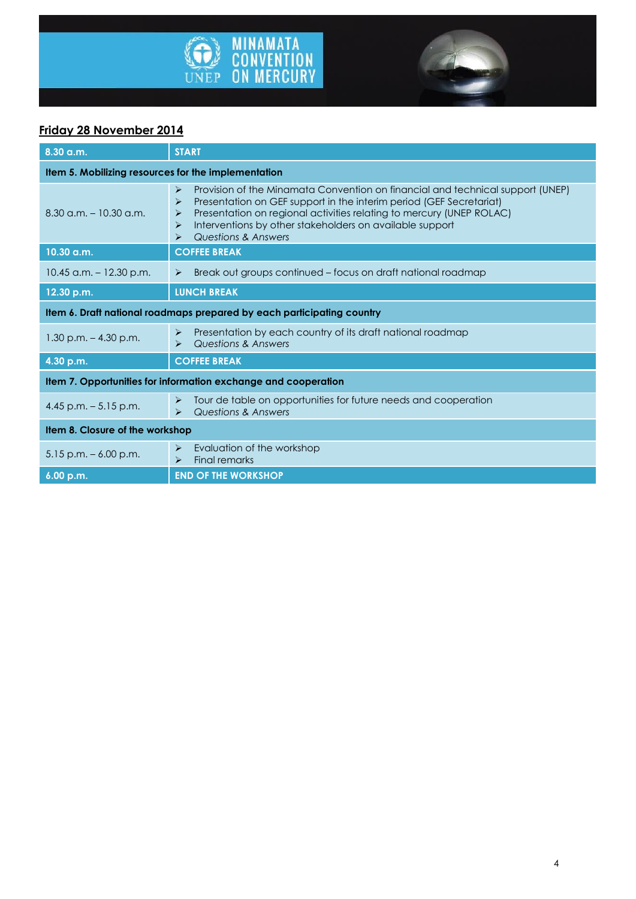



# **Friday 28 November 2014**

| 8.30 a.m.                                                              | <b>START</b>                                                                                                                                                                                                                                                                                                                              |  |
|------------------------------------------------------------------------|-------------------------------------------------------------------------------------------------------------------------------------------------------------------------------------------------------------------------------------------------------------------------------------------------------------------------------------------|--|
| Item 5. Mobilizing resources for the implementation                    |                                                                                                                                                                                                                                                                                                                                           |  |
| $8.30$ a.m. $-10.30$ a.m.                                              | Provision of the Minamata Convention on financial and technical support (UNEP)<br>⋗<br>Presentation on GEF support in the interim period (GEF Secretariat)<br>⋗<br>Presentation on regional activities relating to mercury (UNEP ROLAC)<br>⋗<br>Interventions by other stakeholders on available support<br>➤<br>Questions & Answers<br>⋗ |  |
| 10.30 a.m.                                                             | <b>COFFEE BREAK</b>                                                                                                                                                                                                                                                                                                                       |  |
| $10.45$ a.m. $- 12.30$ p.m.                                            | Break out groups continued - focus on draft national roadmap<br>➤                                                                                                                                                                                                                                                                         |  |
| 12.30 p.m.                                                             | <b>LUNCH BREAK</b>                                                                                                                                                                                                                                                                                                                        |  |
| Item 6. Draft national roadmaps prepared by each participating country |                                                                                                                                                                                                                                                                                                                                           |  |
| $1.30$ p.m. $- 4.30$ p.m.                                              | Presentation by each country of its draft national roadmap<br>➤<br>Questions & Answers<br>$\triangleright$                                                                                                                                                                                                                                |  |
| 4.30 p.m.                                                              | <b>COFFEE BREAK</b>                                                                                                                                                                                                                                                                                                                       |  |
| Item 7. Opportunities for information exchange and cooperation         |                                                                                                                                                                                                                                                                                                                                           |  |
| 4.45 p.m. $-5.15$ p.m.                                                 | Tour de table on opportunities for future needs and cooperation<br>⋗<br>Questions & Answers<br>$\triangleright$                                                                                                                                                                                                                           |  |
| Item 8. Closure of the workshop                                        |                                                                                                                                                                                                                                                                                                                                           |  |
| $5.15$ p.m. $-6.00$ p.m.                                               | Evaluation of the workshop<br>➤<br><b>Final remarks</b><br>$\blacktriangleright$                                                                                                                                                                                                                                                          |  |
| 6.00 p.m.                                                              | <b>END OF THE WORKSHOP</b>                                                                                                                                                                                                                                                                                                                |  |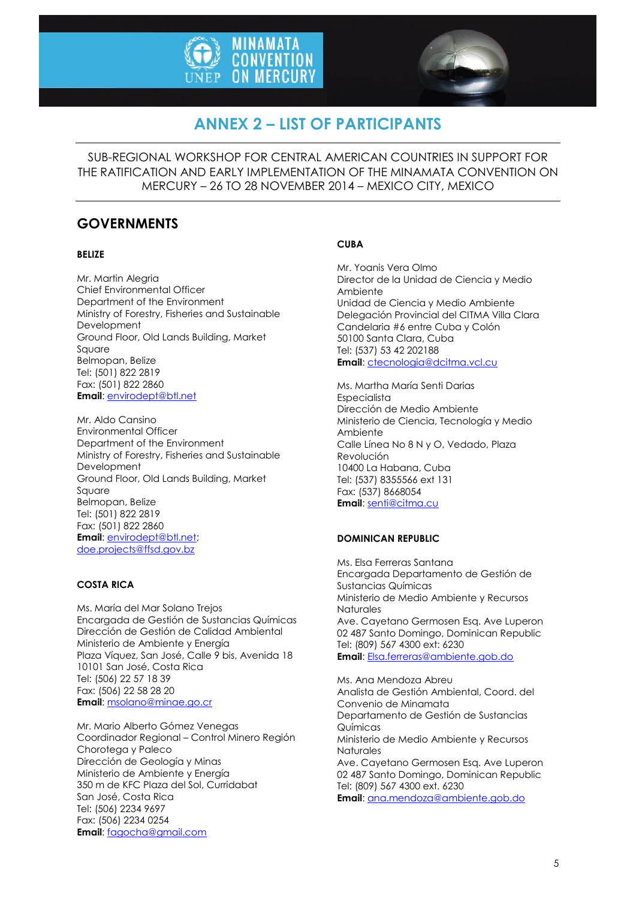



# **ANNEX 2 – LIST OF PARTICIPANTS**

SUB-REGIONAL WORKSHOP FOR CENTRAL AMERICAN COUNTRIES IN SUPPORT FOR THE RATIFICATION AND EARLY IMPLEMENTATION OF THE MINAMATA CONVENTION ON MERCURY – 26 TO 28 NOVEMBER 2014 – MEXICO CITY, MEXICO

# **GOVERNMENTS**

## **BELIZE**

Mr. Martin Alegria Chief Environmental Officer Department of the Environment Ministry of Forestry, Fisheries and Sustainable Development Ground Floor, Old Lands Building, Market Square Belmopan, Belize Tel: (501) 822 2819 Fax: (501) 822 2860 **Email**[: envirodept@btl.net](mailto:envirodept@btl.net)

Mr. Aldo Cansino Environmental Officer Department of the Environment Ministry of Forestry, Fisheries and Sustainable Development Ground Floor, Old Lands Building, Market Square Belmopan, Belize Tel: (501) 822 2819 Fax: (501) 822 2860 **Email**[: envirodept@btl.net;](mailto:envirodept@btl.net) [doe.projects@ffsd.gov.bz](mailto:doe.projects@ffsd.gov.bz)

## **COSTA RICA**

Ms. María del Mar Solano Trejos Encargada de Gestión de Sustancias Químicas Dirección de Gestión de Calidad Ambiental Ministerio de Ambiente y Energía Plaza Víquez, San José, Calle 9 bis, Avenida 18 10101 San José, Costa Rica Tel: (506) 22 57 18 39 Fax: (506) 22 58 28 20 **Email**[: msolano@minae.go.cr](mailto:msolano@minae.go.cr)

Mr. Mario Alberto Gómez Venegas Coordinador Regional – Control Minero Región Chorotega y Paleco Dirección de Geología y Minas Ministerio de Ambiente y Energía 350 m de KFC Plaza del Sol, Curridabat San José, Costa Rica Tel: (506) 2234 9697 Fax: (506) 2234 0254 **Email**[: fagocha@gmail.com](mailto:fagocha@gmail.com)

## **CUBA**

Mr. Yoanis Vera Olmo Director de la Unidad de Ciencia y Medio Ambiente Unidad de Ciencia y Medio Ambiente Delegación Provincial del CITMA Villa Clara Candelaria #6 entre Cuba y Colón 50100 Santa Clara, Cuba Tel: (537) 53 42 202188 **Email**: [ctecnologia@dcitma.vcl.cu](mailto:ctecnologia@dcitma.vcl.cu)

Ms. Martha María Senti Darias Especialista Dirección de Medio Ambiente Ministerio de Ciencia, Tecnología y Medio Ambiente Calle Línea No 8 N y O, Vedado, Plaza Revolución 10400 La Habana, Cuba Tel: (537) 8355566 ext 131 Fax: (537) 8668054 **Email**: [senti@citma.cu](mailto:senti@citma.cu)

## **DOMINICAN REPUBLIC**

Ms. Elsa Ferreras Santana Encargada Departamento de Gestión de Sustancias Químicas Ministerio de Medio Ambiente y Recursos Naturales Ave. Cayetano Germosen Esq. Ave Luperon 02 487 Santo Domingo, Dominican Republic Tel: (809) 567 4300 ext: 6230 **Email**: [Elsa.ferreras@ambiente.gob.do](mailto:Elsa.ferreras@ambiente.gob.do)

Ms. Ana Mendoza Abreu Analista de Gestión Ambiental, Coord. del Convenio de Minamata Departamento de Gestión de Sustancias Químicas Ministerio de Medio Ambiente y Recursos **Naturales** Ave. Cayetano Germosen Esq. Ave Luperon 02 487 Santo Domingo, Dominican Republic Tel: (809) 567 4300 ext. 6230 **Email**: [ana.mendoza@ambiente.gob.do](mailto:ana.mendoza@ambiente.gob.do)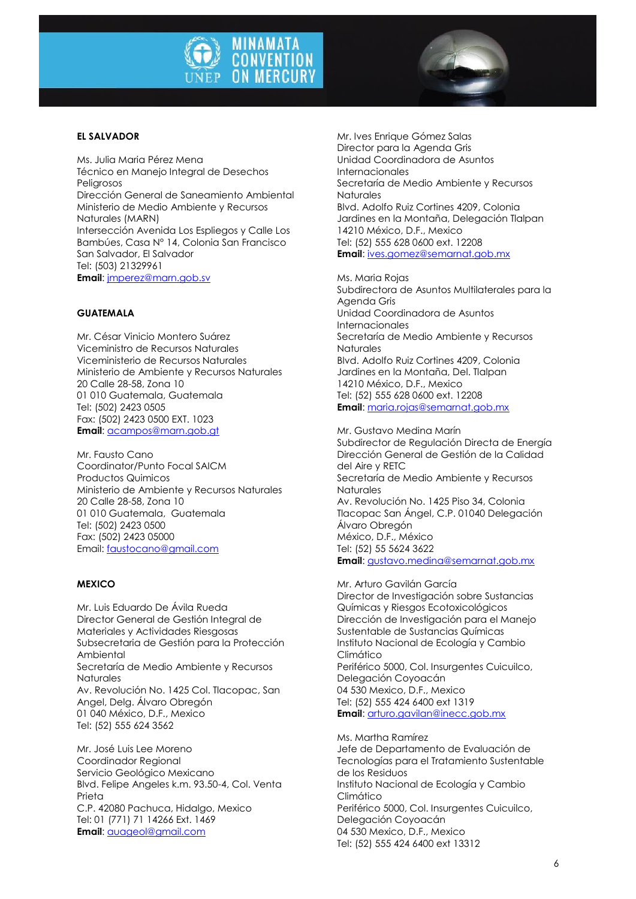



# **EL SALVADOR**

Ms. Julia Maria Pérez Mena Técnico en Manejo Integral de Desechos Peligrosos Dirección General de Saneamiento Ambiental Ministerio de Medio Ambiente y Recursos Naturales (MARN) Intersección Avenida Los Espliegos y Calle Los Bambúes, Casa N° 14, Colonia San Francisco San Salvador, El Salvador Tel: (503) 21329961 **Email**[: jmperez@marn.gob.sv](mailto:jmperez@marn.gob.sv)

#### **GUATEMALA**

Mr. César Vinicio Montero Suárez Viceministro de Recursos Naturales Viceministerio de Recursos Naturales Ministerio de Ambiente y Recursos Naturales 20 Calle 28-58, Zona 10 01 010 Guatemala, Guatemala Tel: (502) 2423 0505 Fax: (502) 2423 0500 EXT. 1023 **Email**[: acampos@marn.gob.gt](mailto:acampos@marn.gob.gt)

Mr. Fausto Cano Coordinator/Punto Focal SAICM Productos Quimicos Ministerio de Ambiente y Recursos Naturales 20 Calle 28-58, Zona 10 01 010 Guatemala, Guatemala Tel: (502) 2423 0500 Fax: (502) 2423 05000 Email: [faustocano@gmail.com](mailto:faustocano@gmail.com)

#### **MEXICO**

Mr. Luis Eduardo De Ávila Rueda Director General de Gestión Integral de Materiales y Actividades Riesgosas Subsecretaria de Gestión para la Protección Ambiental Secretaría de Medio Ambiente y Recursos **Naturales** Av. Revolución No. 1425 Col. Tlacopac, San Angel, Delg. Álvaro Obregón 01 040 México, D.F., Mexico Tel: (52) 555 624 3562

Mr. José Luis Lee Moreno Coordinador Regional Servicio Geológico Mexicano Blvd. Felipe Angeles k.m. 93.50-4, Col. Venta Prieta C.P. 42080 Pachuca, Hidalgo, Mexico Tel: 01 (771) 71 14266 Ext. 1469 **Email**[: auageol@gmail.com](mailto:auageol@gmail.com)

Mr. Ives Enrique Gómez Salas Director para la Agenda Gris Unidad Coordinadora de Asuntos Internacionales Secretaría de Medio Ambiente y Recursos Naturales Blvd. Adolfo Ruiz Cortines 4209, Colonia Jardines en la Montaña, Delegación Tlalpan 14210 México, D.F., Mexico Tel: (52) 555 628 0600 ext. 12208 **Email**: [ives.gomez@semarnat.gob.mx](mailto:ives.gomez@semarnat.gob.mx)

Ms. Maria Rojas Subdirectora de Asuntos Multilaterales para la Agenda Gris Unidad Coordinadora de Asuntos Internacionales Secretaría de Medio Ambiente y Recursos Naturales Blvd. Adolfo Ruiz Cortines 4209, Colonia Jardines en la Montaña, Del. Tlalpan 14210 México, D.F., Mexico Tel: (52) 555 628 0600 ext. 12208 **Email**: [maria.rojas@semarnat.gob.mx](mailto:maria.rojas@semarnat.gob.mx)

Mr. Gustavo Medina Marín Subdirector de Regulación Directa de Energía Dirección General de Gestión de la Calidad del Aire y RETC Secretaría de Medio Ambiente y Recursos Naturales Av. Revolución No. 1425 Piso 34, Colonia Tlacopac San Ángel, C.P. 01040 Delegación Álvaro Obregón México, D.F., México Tel: (52) 55 5624 3622 **Email**: [gustavo.medina@semarnat.gob.mx](mailto:gustavo.medina@semarnat.gob.mx)

Mr. Arturo Gavilán García Director de Investigación sobre Sustancias Químicas y Riesgos Ecotoxicológicos Dirección de Investigación para el Manejo Sustentable de Sustancias Químicas Instituto Nacional de Ecología y Cambio Climático Periférico 5000, Col. Insurgentes Cuicuilco, Delegación Coyoacán 04 530 Mexico, D.F., Mexico Tel: (52) 555 424 6400 ext 1319 **Email**: [arturo.gavilan@inecc.gob.mx](mailto:arturo.gavilan@inecc.gob.mx)

Ms. Martha Ramírez Jefe de Departamento de Evaluación de Tecnologías para el Tratamiento Sustentable de los Residuos Instituto Nacional de Ecología y Cambio Climático Periférico 5000, Col. Insurgentes Cuicuilco, Delegación Coyoacán 04 530 Mexico, D.F., Mexico Tel: (52) 555 424 6400 ext 13312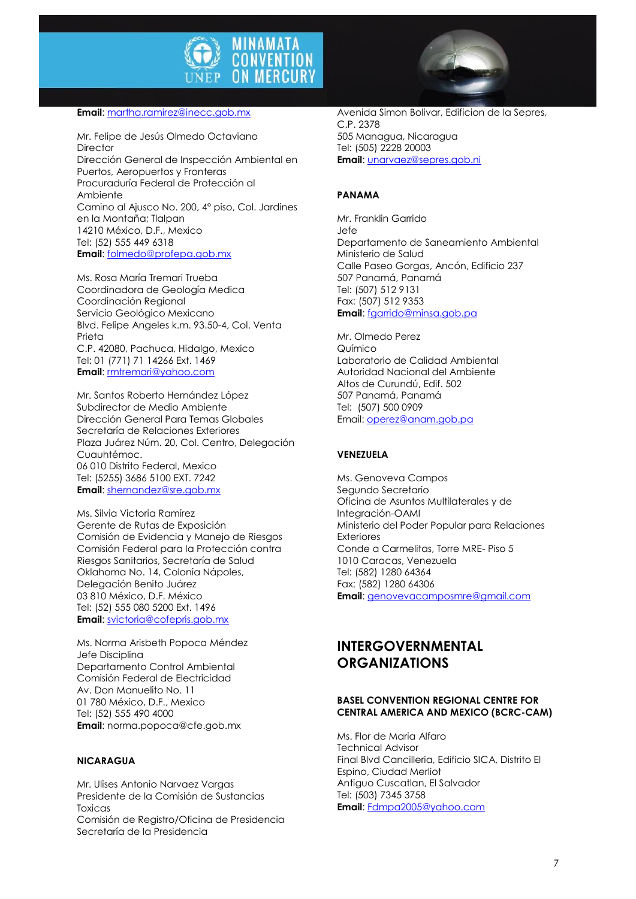

#### **Email**[: martha.ramirez@inecc.gob.mx](mailto:martha.ramirez@inecc.gob.mx)

Mr. Felipe de Jesús Olmedo Octaviano Director Dirección General de Inspección Ambiental en Puertos, Aeropuertos y Fronteras Procuraduría Federal de Protección al Ambiente Camino al Ajusco No. 200, 4° piso, Col. Jardines en la Montaña; Tlalpan 14210 México, D.F., Mexico Tel: (52) 555 449 6318 **Email**[: folmedo@profepa.gob.mx](mailto:folmedo@profepa.gob.mx)

Ms. Rosa María Tremari Trueba Coordinadora de Geología Medica Coordinación Regional Servicio Geológico Mexicano Blvd. Felipe Angeles k.m. 93.50-4, Col. Venta Prieta C.P. 42080, Pachuca, Hidalgo, Mexico Tel: 01 (771) 71 14266 Ext. 1469 **Email**[: rmtremari@yahoo.com](mailto:rmtremari@yahoo.com)

Mr. Santos Roberto Hernández López Subdirector de Medio Ambiente Dirección General Para Temas Globales Secretaría de Relaciones Exteriores Plaza Juárez Núm. 20, Col. Centro, Delegación Cuauhtémoc. 06 010 Distrito Federal, Mexico Tel: (5255) 3686 5100 EXT. 7242 **Email**[: shernandez@sre.gob.mx](mailto:shernandez@sre.gob.mx)

Ms. Silvia Victoria Ramírez Gerente de Rutas de Exposición Comisión de Evidencia y Manejo de Riesgos Comisión Federal para la Protección contra Riesgos Sanitarios, Secretaría de Salud Oklahoma No. 14, Colonia Nápoles, Delegación Benito Juárez 03 810 México, D.F. México Tel: (52) 555 080 5200 Ext. 1496 **Email**[: svictoria@cofepris.gob.mx](mailto:svictoria@cofepris.gob.mx)

Ms. Norma Arisbeth Popoca Méndez Jefe Disciplina Departamento Control Ambiental Comisión Federal de Electricidad Av. Don Manuelito No. 11 01 780 México, D.F., Mexico Tel: (52) 555 490 4000 **Email**: norma.popoca@cfe.gob.mx

#### **NICARAGUA**

Mr. Ulises Antonio Narvaez Vargas Presidente de la Comisión de Sustancias Toxicas Comisión de Registro/Oficina de Presidencia Secretaría de la Presidencia



Avenida Simon Bolivar, Edificion de la Sepres, C.P. 2378 505 Managua, Nicaragua Tel: (505) 2228 20003 **Email**: [unarvaez@sepres.gob.ni](mailto:unarvaez@sepres.gob.ni)

#### **PANAMA**

Mr. Franklin Garrido Jefe Departamento de Saneamiento Ambiental Ministerio de Salud Calle Paseo Gorgas, Ancón, Edificio 237 507 Panamá, Panamá Tel: (507) 512 9131 Fax: (507) 512 9353 **Email**: [fgarrido@minsa.gob.pa](mailto:fgarrido@minsa.gob.pa)

Mr. Olmedo Perez Químico Laboratorio de Calidad Ambiental Autoridad Nacional del Ambiente Altos de Curundú, Edif. 502 507 Panamá, Panamá Tel: (507) 500 0909 Email[: operez@anam.gob.pa](mailto:operez@anam.gob.pa)

#### **VENEZUELA**

Ms. Genoveva Campos Segundo Secretario Oficina de Asuntos Multilaterales y de Integración-OAMI Ministerio del Poder Popular para Relaciones Exteriores Conde a Carmelitas, Torre MRE- Piso 5 1010 Caracas, Venezuela Tel: (582) 1280 64364 Fax: (582) 1280 64306 **Email**: [genovevacamposmre@gmail.com](mailto:genovevacamposmre@gmail.com)

# **INTERGOVERNMENTAL ORGANIZATIONS**

#### **BASEL CONVENTION REGIONAL CENTRE FOR CENTRAL AMERICA AND MEXICO (BCRC-CAM)**

Ms. Flor de Maria Alfaro Technical Advisor Final Blvd Cancilleria, Edificio SICA, Distrito El Espino, Ciudad Merliot Antiguo Cuscatlan, El Salvador Tel: (503) 7345 3758 **Email**: [Fdmpa2005@yahoo.com](mailto:Fdmpa2005@yahoo.com)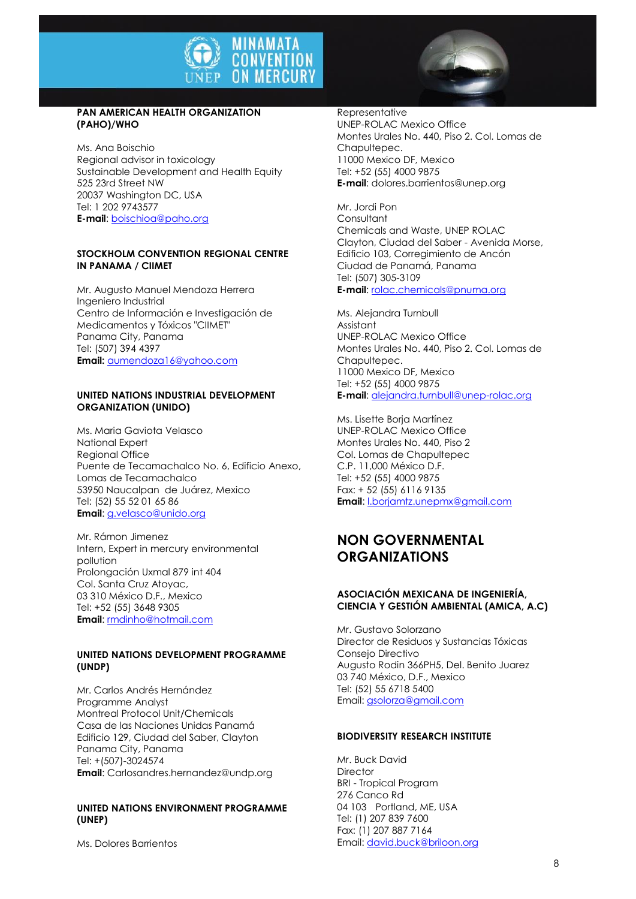

## **PAN AMERICAN HEALTH ORGANIZATION (PAHO)/WHO**

Ms. Ana Boischio Regional advisor in toxicology Sustainable Development and Health Equity 525 23rd Street NW 20037 Washington DC, USA Tel: 1 202 9743577 **E-mail**: [boischioa@paho.org](mailto:boischioa@paho.org)

### **STOCKHOLM CONVENTION REGIONAL CENTRE IN PANAMA / CIIMET**

Mr. Augusto Manuel Mendoza Herrera Ingeniero Industrial Centro de Información e Investigación de Medicamentos y Tóxicos "CIIMET" Panama City, Panama Tel: (507) 394 4397 **Email:** [aumendoza16@yahoo.com](mailto:aumendoza16@yahoo.com)

#### **UNITED NATIONS INDUSTRIAL DEVELOPMENT ORGANIZATION (UNIDO)**

Ms. Maria Gaviota Velasco National Expert Regional Office Puente de Tecamachalco No. 6, Edificio Anexo, Lomas de Tecamachalco 53950 Naucalpan de Juárez, Mexico Tel: (52) 55 52 01 65 86 **Email**[: g.velasco@unido.org](mailto:g.velasco@unido.org)

Mr. Rámon Jimenez Intern, Expert in mercury environmental pollution Prolongación Uxmal 879 int 404 Col. Santa Cruz Atoyac, 03 310 México D.F., Mexico Tel: +52 (55) 3648 9305 **Email:** rmdinho@hotmail.com

## **UNITED NATIONS DEVELOPMENT PROGRAMME (UNDP)**

Mr. Carlos Andrés Hernández Programme Analyst Montreal Protocol Unit/Chemicals Casa de las Naciones Unidas Panamá Edificio 129, Ciudad del Saber, Clayton Panama City, Panama Tel: +(507)-3024574 **Email**: Carlosandres.hernandez@undp.org

## **UNITED NATIONS ENVIRONMENT PROGRAMME (UNEP)**

Ms. Dolores Barrientos

Representative UNEP-ROLAC Mexico Office Montes Urales No. 440, Piso 2. Col. Lomas de Chapultepec. 11000 Mexico DF, Mexico Tel: +52 (55) 4000 9875 **E-mail**: dolores.barrientos@unep.org

Mr. Jordi Pon **Consultant** Chemicals and Waste, UNEP ROLAC Clayton, Ciudad del Saber - Avenida Morse, Edificio 103, Corregimiento de Ancón Ciudad de Panamá, Panama Tel: (507) 305-3109 **E-mail**: [rolac.chemicals@pnuma.org](mailto:rolac.chemicals@pnuma.org)

Ms. Alejandra Turnbull Assistant UNEP-ROLAC Mexico Office Montes Urales No. 440, Piso 2. Col. Lomas de Chapultepec. 11000 Mexico DF, Mexico Tel: +52 (55) 4000 9875 **E-mail**: [alejandra.turnbull@unep-rolac.org](mailto:alejandra.turnbull@unep-rolac.org)

Ms. Lisette Borja Martínez UNEP-ROLAC Mexico Office Montes Urales No. 440, Piso 2 Col. Lomas de Chapultepec C.P. 11,000 México D.F. Tel: +52 (55) 4000 9875 Fax: + 52 (55) 6116 9135 **Email**: [l.borjamtz.unepmx@gmail.com](mailto:l.borjamtz.unepmx@gmail.com)

# **NON GOVERNMENTAL ORGANIZATIONS**

## **ASOCIACIÓN MEXICANA DE INGENIERÍA, CIENCIA Y GESTIÓN AMBIENTAL (AMICA, A.C)**

Mr. Gustavo Solorzano Director de Residuos y Sustancias Tóxicas Consejo Directivo Augusto Rodin 366PH5, Del. Benito Juarez 03 740 México, D.F., Mexico Tel: (52) 55 6718 5400 Email[: gsolorza@gmail.com](mailto:gsolorza@gmail.com)

#### **BIODIVERSITY RESEARCH INSTITUTE**

Mr. Buck David **Director** BRI - Tropical Program 276 Canco Rd 04 103 Portland, ME, USA Tel: (1) 207 839 7600 Fax: (1) 207 887 7164 Email[: david.buck@briloon.org](mailto:david.buck@briloon.org)